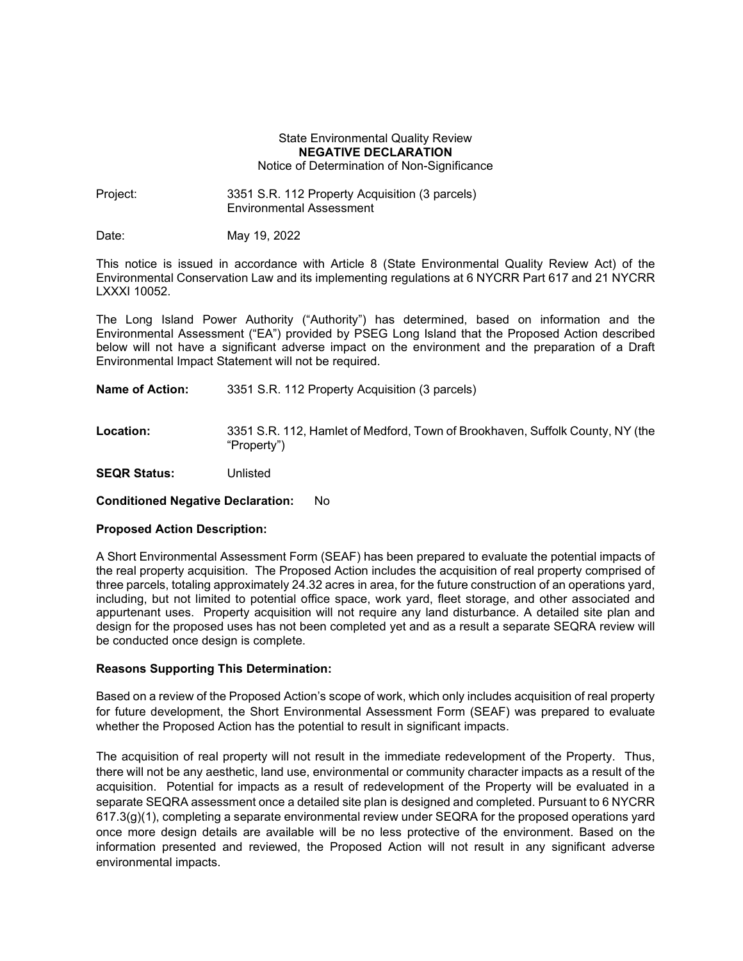## State Environmental Quality Review **NEGATIVE DECLARATION** Notice of Determination of Non-Significance

Project: 3351 S.R. 112 Property Acquisition (3 parcels) Environmental Assessment

Date: May 19, 2022

This notice is issued in accordance with Article 8 (State Environmental Quality Review Act) of the Environmental Conservation Law and its implementing regulations at 6 NYCRR Part 617 and 21 NYCRR LXXXI 10052.

The Long Island Power Authority ("Authority") has determined, based on information and the Environmental Assessment ("EA") provided by PSEG Long Island that the Proposed Action described below will not have a significant adverse impact on the environment and the preparation of a Draft Environmental Impact Statement will not be required.

**Name of Action:** 3351 S.R. 112 Property Acquisition (3 parcels)

**Location:** 3351 S.R. 112, Hamlet of Medford, Town of Brookhaven, Suffolk County, NY (the "Property")

**SEQR Status:** Unlisted

**Conditioned Negative Declaration:** No

## **Proposed Action Description:**

A Short Environmental Assessment Form (SEAF) has been prepared to evaluate the potential impacts of the real property acquisition. The Proposed Action includes the acquisition of real property comprised of three parcels, totaling approximately 24.32 acres in area, for the future construction of an operations yard, including, but not limited to potential office space, work yard, fleet storage, and other associated and appurtenant uses. Property acquisition will not require any land disturbance. A detailed site plan and design for the proposed uses has not been completed yet and as a result a separate SEQRA review will be conducted once design is complete.

## **Reasons Supporting This Determination:**

Based on a review of the Proposed Action's scope of work, which only includes acquisition of real property for future development, the Short Environmental Assessment Form (SEAF) was prepared to evaluate whether the Proposed Action has the potential to result in significant impacts.

The acquisition of real property will not result in the immediate redevelopment of the Property. Thus, there will not be any aesthetic, land use, environmental or community character impacts as a result of the acquisition. Potential for impacts as a result of redevelopment of the Property will be evaluated in a separate SEQRA assessment once a detailed site plan is designed and completed. Pursuant to 6 NYCRR 617.3(g)(1), completing a separate environmental review under SEQRA for the proposed operations yard once more design details are available will be no less protective of the environment. Based on the information presented and reviewed, the Proposed Action will not result in any significant adverse environmental impacts.